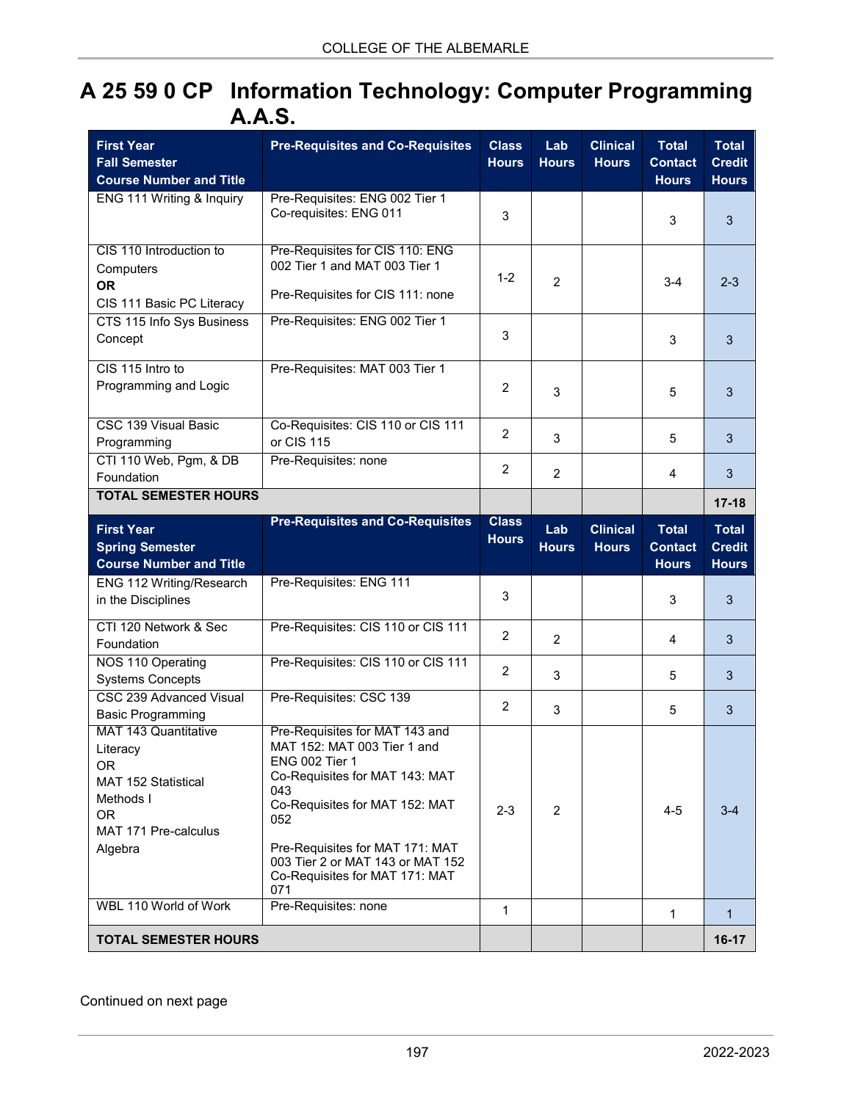## **A 25 59 0 CP Information Technology: Computer Programming A.A.S.**

| <b>First Year</b><br><b>Fall Semester</b><br><b>Course Number and Title</b>                                                        | <b>Pre-Requisites and Co-Requisites</b>                                                                                                                                                                                                                                                  | <b>Class</b><br><b>Hours</b> | Lab<br><b>Hours</b> | <b>Clinical</b><br><b>Hours</b> | <b>Total</b><br><b>Contact</b><br><b>Hours</b> | <b>Total</b><br><b>Credit</b><br><b>Hours</b> |
|------------------------------------------------------------------------------------------------------------------------------------|------------------------------------------------------------------------------------------------------------------------------------------------------------------------------------------------------------------------------------------------------------------------------------------|------------------------------|---------------------|---------------------------------|------------------------------------------------|-----------------------------------------------|
| ENG 111 Writing & Inquiry                                                                                                          | Pre-Requisites: ENG 002 Tier 1<br>Co-requisites: ENG 011                                                                                                                                                                                                                                 | 3                            |                     |                                 | 3                                              | 3                                             |
| CIS 110 Introduction to<br>Computers<br><b>OR</b><br>CIS 111 Basic PC Literacy                                                     | Pre-Requisites for CIS 110: ENG<br>002 Tier 1 and MAT 003 Tier 1<br>Pre-Requisites for CIS 111: none                                                                                                                                                                                     | $1 - 2$                      | $\overline{2}$      |                                 | $3-4$                                          | $2 - 3$                                       |
| CTS 115 Info Sys Business<br>Concept                                                                                               | Pre-Requisites: ENG 002 Tier 1                                                                                                                                                                                                                                                           | 3                            |                     |                                 | 3                                              | 3                                             |
| CIS 115 Intro to<br>Programming and Logic                                                                                          | Pre-Requisites: MAT 003 Tier 1                                                                                                                                                                                                                                                           | $\overline{2}$               | 3                   |                                 | 5                                              | 3                                             |
| <b>CSC 139 Visual Basic</b><br>Programming                                                                                         | Co-Requisites: CIS 110 or CIS 111<br>or CIS 115                                                                                                                                                                                                                                          | $\overline{c}$               | 3                   |                                 | 5                                              | 3                                             |
| CTI 110 Web, Pgm, & DB<br>Foundation<br><b>TOTAL SEMESTER HOURS</b>                                                                | Pre-Requisites: none                                                                                                                                                                                                                                                                     | $\overline{2}$               | $\overline{2}$      |                                 | $\overline{4}$                                 | 3                                             |
|                                                                                                                                    |                                                                                                                                                                                                                                                                                          |                              |                     |                                 |                                                | $17 - 18$                                     |
| <b>First Year</b><br><b>Spring Semester</b><br><b>Course Number and Title</b>                                                      | <b>Pre-Requisites and Co-Requisites</b>                                                                                                                                                                                                                                                  | <b>Class</b><br><b>Hours</b> | Lab<br><b>Hours</b> | <b>Clinical</b><br><b>Hours</b> | <b>Total</b><br><b>Contact</b><br><b>Hours</b> | <b>Total</b><br><b>Credit</b><br><b>Hours</b> |
| ENG 112 Writing/Research<br>in the Disciplines                                                                                     | Pre-Requisites: ENG 111                                                                                                                                                                                                                                                                  | 3                            |                     |                                 | 3                                              | 3                                             |
| CTI 120 Network & Sec<br>Foundation                                                                                                | Pre-Requisites: CIS 110 or CIS 111                                                                                                                                                                                                                                                       | $\overline{c}$               | $\overline{2}$      |                                 | 4                                              | 3                                             |
| NOS 110 Operating<br><b>Systems Concepts</b>                                                                                       | Pre-Requisites: CIS 110 or CIS 111                                                                                                                                                                                                                                                       | $\overline{c}$               | 3                   |                                 | 5                                              | 3                                             |
| <b>CSC 239 Advanced Visual</b><br><b>Basic Programming</b>                                                                         | Pre-Requisites: CSC 139                                                                                                                                                                                                                                                                  | 2                            | 3                   |                                 | 5                                              | 3                                             |
| <b>MAT 143 Quantitative</b><br>Literacy<br>OR.<br>MAT 152 Statistical<br>Methods I<br><b>OR</b><br>MAT 171 Pre-calculus<br>Algebra | Pre-Requisites for MAT 143 and<br>MAT 152: MAT 003 Tier 1 and<br><b>ENG 002 Tier 1</b><br>Co-Requisites for MAT 143: MAT<br>043<br>Co-Requisites for MAT 152: MAT<br>052<br>Pre-Requisites for MAT 171: MAT<br>003 Tier 2 or MAT 143 or MAT 152<br>Co-Requisites for MAT 171: MAT<br>071 | $2 - 3$                      | 2                   |                                 | $4 - 5$                                        | $3-4$                                         |
| WBL 110 World of Work                                                                                                              | Pre-Requisites: none                                                                                                                                                                                                                                                                     | 1                            |                     |                                 | 1                                              | $\mathbf{1}$                                  |
| <b>TOTAL SEMESTER HOURS</b>                                                                                                        |                                                                                                                                                                                                                                                                                          |                              |                     |                                 |                                                | $16-17$                                       |

Continued on next page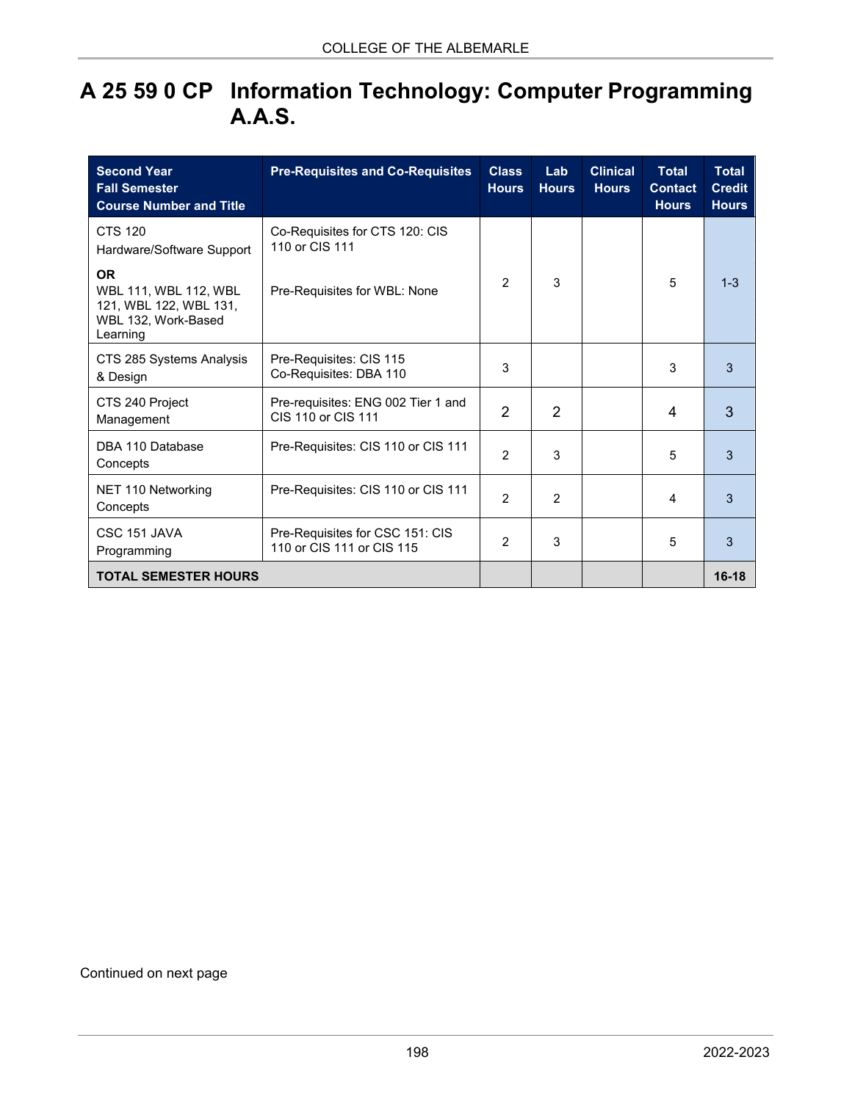## **A 25 59 0 CP Information Technology: Computer Programming A.A.S.**

| <b>Second Year</b><br><b>Fall Semester</b><br><b>Course Number and Title</b>                    | <b>Pre-Requisites and Co-Requisites</b>                      | <b>Class</b><br><b>Hours</b> | Lab<br><b>Hours</b> | <b>Clinical</b><br><b>Hours</b> | <b>Total</b><br><b>Contact</b><br><b>Hours</b> | <b>Total</b><br><b>Credit</b><br><b>Hours</b> |
|-------------------------------------------------------------------------------------------------|--------------------------------------------------------------|------------------------------|---------------------|---------------------------------|------------------------------------------------|-----------------------------------------------|
| <b>CTS 120</b><br>Hardware/Software Support                                                     | Co-Requisites for CTS 120: CIS<br>110 or CIS 111             |                              |                     |                                 |                                                |                                               |
| <b>OR</b><br>WBL 111, WBL 112, WBL<br>121, WBL 122, WBL 131,<br>WBL 132, Work-Based<br>Learning | Pre-Requisites for WBL: None                                 | $\mathcal{P}$                | 3                   |                                 | 5                                              | $1 - 3$                                       |
| CTS 285 Systems Analysis<br>& Design                                                            | Pre-Requisites: CIS 115<br>Co-Requisites: DBA 110            | 3                            |                     |                                 | 3                                              | 3                                             |
| CTS 240 Project<br>Management                                                                   | Pre-requisites: ENG 002 Tier 1 and<br>CIS 110 or CIS 111     | 2                            | 2                   |                                 | 4                                              | 3                                             |
| DBA 110 Database<br>Concepts                                                                    | Pre-Requisites: CIS 110 or CIS 111                           | 2                            | 3                   |                                 | 5                                              | 3                                             |
| NET 110 Networking<br>Concepts                                                                  | Pre-Requisites: CIS 110 or CIS 111                           | $\mathfrak{p}$               | $\mathcal{P}$       |                                 | 4                                              | 3                                             |
| CSC 151 JAVA<br>Programming                                                                     | Pre-Requisites for CSC 151: CIS<br>110 or CIS 111 or CIS 115 | 2                            | 3                   |                                 | 5                                              | 3                                             |
| <b>TOTAL SEMESTER HOURS</b>                                                                     |                                                              |                              |                     |                                 |                                                | $16-18$                                       |

## Continued on next page